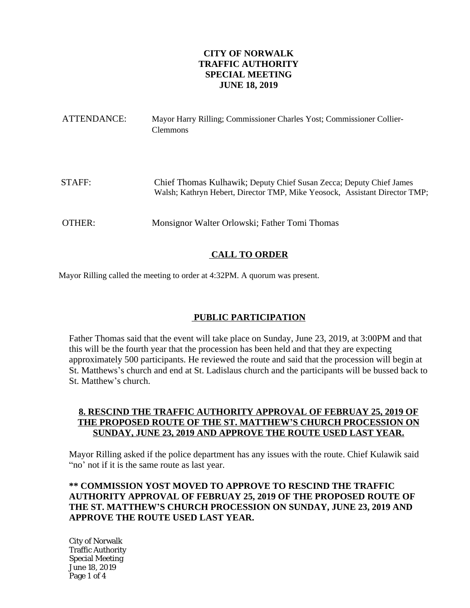# **CITY OF NORWALK TRAFFIC AUTHORITY SPECIAL MEETING JUNE 18, 2019**

| ATTENDANCE: | Mayor Harry Rilling; Commissioner Charles Yost; Commissioner Collier-<br><b>Clemmons</b>                                                          |
|-------------|---------------------------------------------------------------------------------------------------------------------------------------------------|
| STAFF:      | Chief Thomas Kulhawik; Deputy Chief Susan Zecca; Deputy Chief James<br>Walsh; Kathryn Hebert, Director TMP, Mike Yeosock, Assistant Director TMP; |
| OTHER:      | Monsignor Walter Orlowski; Father Tomi Thomas                                                                                                     |

# **CALL TO ORDER**

Mayor Rilling called the meeting to order at 4:32PM. A quorum was present.

# **PUBLIC PARTICIPATION**

Father Thomas said that the event will take place on Sunday, June 23, 2019, at 3:00PM and that this will be the fourth year that the procession has been held and that they are expecting approximately 500 participants. He reviewed the route and said that the procession will begin at St. Matthews's church and end at St. Ladislaus church and the participants will be bussed back to St. Matthew's church.

### **8. RESCIND THE TRAFFIC AUTHORITY APPROVAL OF FEBRUAY 25, 2019 OF THE PROPOSED ROUTE OF THE ST. MATTHEW'S CHURCH PROCESSION ON SUNDAY, JUNE 23, 2019 AND APPROVE THE ROUTE USED LAST YEAR.**

Mayor Rilling asked if the police department has any issues with the route. Chief Kulawik said "no' not if it is the same route as last year.

# **\*\* COMMISSION YOST MOVED TO APPROVE TO RESCIND THE TRAFFIC AUTHORITY APPROVAL OF FEBRUAY 25, 2019 OF THE PROPOSED ROUTE OF THE ST. MATTHEW'S CHURCH PROCESSION ON SUNDAY, JUNE 23, 2019 AND APPROVE THE ROUTE USED LAST YEAR.**

City of Norwalk Traffic Authority Special Meeting June 18, 2019 Page 1 of 4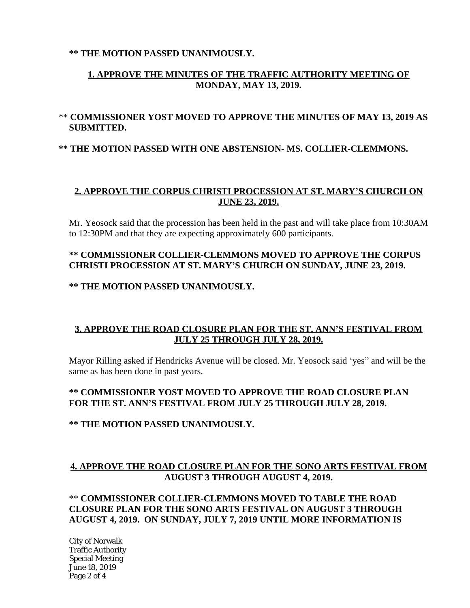### **\*\* THE MOTION PASSED UNANIMOUSLY.**

# **1. APPROVE THE MINUTES OF THE TRAFFIC AUTHORITY MEETING OF MONDAY, MAY 13, 2019.**

# \*\* **COMMISSIONER YOST MOVED TO APPROVE THE MINUTES OF MAY 13, 2019 AS SUBMITTED.**

### **\*\* THE MOTION PASSED WITH ONE ABSTENSION- MS. COLLIER-CLEMMONS.**

## **2. APPROVE THE CORPUS CHRISTI PROCESSION AT ST. MARY'S CHURCH ON JUNE 23, 2019.**

Mr. Yeosock said that the procession has been held in the past and will take place from 10:30AM to 12:30PM and that they are expecting approximately 600 participants.

## **\*\* COMMISSIONER COLLIER-CLEMMONS MOVED TO APPROVE THE CORPUS CHRISTI PROCESSION AT ST. MARY'S CHURCH ON SUNDAY, JUNE 23, 2019.**

#### **\*\* THE MOTION PASSED UNANIMOUSLY.**

### **3. APPROVE THE ROAD CLOSURE PLAN FOR THE ST. ANN'S FESTIVAL FROM JULY 25 THROUGH JULY 28, 2019.**

Mayor Rilling asked if Hendricks Avenue will be closed. Mr. Yeosock said 'yes" and will be the same as has been done in past years.

### **\*\* COMMISSIONER YOST MOVED TO APPROVE THE ROAD CLOSURE PLAN FOR THE ST. ANN'S FESTIVAL FROM JULY 25 THROUGH JULY 28, 2019.**

#### **\*\* THE MOTION PASSED UNANIMOUSLY.**

### **4. APPROVE THE ROAD CLOSURE PLAN FOR THE SONO ARTS FESTIVAL FROM AUGUST 3 THROUGH AUGUST 4, 2019.**

## \*\* **COMMISSIONER COLLIER-CLEMMONS MOVED TO TABLE THE ROAD CLOSURE PLAN FOR THE SONO ARTS FESTIVAL ON AUGUST 3 THROUGH AUGUST 4, 2019. ON SUNDAY, JULY 7, 2019 UNTIL MORE INFORMATION IS**

City of Norwalk Traffic Authority Special Meeting June 18, 2019 Page 2 of 4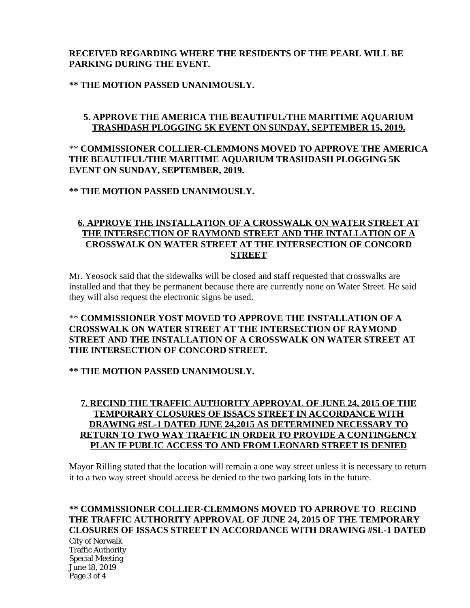# **RECEIVED REGARDING WHERE THE RESIDENTS OF THE PEARL WILL BE PARKING DURING THE EVENT.**

### **\*\* THE MOTION PASSED UNANIMOUSLY.**

# **5. APPROVE THE AMERICA THE BEAUTIFUL/THE MARITIME AQUARIUM TRASHDASH PLOGGING 5K EVENT ON SUNDAY, SEPTEMBER 15, 2019.**

# \*\* **COMMISSIONER COLLIER-CLEMMONS MOVED TO APPROVE THE AMERICA THE BEAUTIFUL/THE MARITIME AQUARIUM TRASHDASH PLOGGING 5K EVENT ON SUNDAY, SEPTEMBER, 2019.**

**\*\* THE MOTION PASSED UNANIMOUSLY.**

## **6. APPROVE THE INSTALLATION OF A CROSSWALK ON WATER STREET AT THE INTERSECTION OF RAYMOND STREET AND THE INTALLATION OF A CROSSWALK ON WATER STREET AT THE INTERSECTION OF CONCORD STREET**

Mr. Yeosock said that the sidewalks will be closed and staff requested that crosswalks are installed and that they be permanent because there are currently none on Water Street. He said they will also request the electronic signs be used.

## \*\* **COMMISSIONER YOST MOVED TO APPROVE THE INSTALLATION OF A CROSSWALK ON WATER STREET AT THE INTERSECTION OF RAYMOND STREET AND THE INSTALLATION OF A CROSSWALK ON WATER STREET AT THE INTERSECTION OF CONCORD STREET.**

### **\*\* THE MOTION PASSED UNANIMOUSLY.**

### **7. RECIND THE TRAFFIC AUTHORITY APPROVAL OF JUNE 24, 2015 OF THE TEMPORARY CLOSURES OF ISSACS STREET IN ACCORDANCE WITH DRAWING #SL-1 DATED JUNE 24,2015 AS DETERMINED NECESSARY TO RETURN TO TWO WAY TRAFFIC IN ORDER TO PROVIDE A CONTINGENCY PLAN IF PUBLIC ACCESS TO AND FROM LEONARD STREET IS DENIED**

Mayor Rilling stated that the location will remain a one way street unless it is necessary to return it to a two way street should access be denied to the two parking lots in the future.

# **\*\* COMMISSIONER COLLIER-CLEMMONS MOVED TO APRROVE TO RECIND THE TRAFFIC AUTHORITY APPROVAL OF JUNE 24, 2015 OF THE TEMPORARY CLOSURES OF ISSACS STREET IN ACCORDANCE WITH DRAWING #SL-1 DATED**

City of Norwalk Traffic Authority Special Meeting June 18, 2019 Page 3 of 4